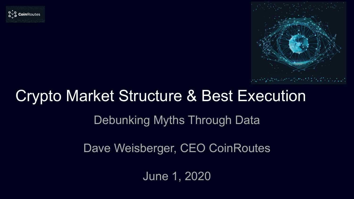



# Crypto Market Structure & Best Execution

#### Debunking Myths Through Data

Dave Weisberger, CEO CoinRoutes

June 1, 2020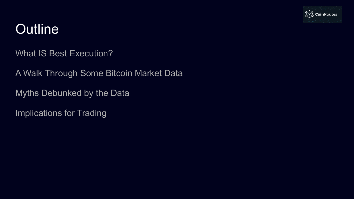

## **Outline**

What IS Best Execution?

A Walk Through Some Bitcoin Market Data

Myths Debunked by the Data

Implications for Trading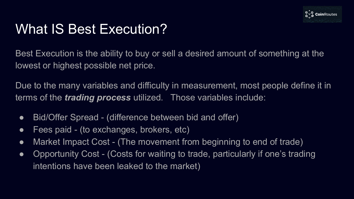

## What IS Best Execution?

Best Execution is the ability to buy or sell a desired amount of something at the lowest or highest possible net price.

Due to the many variables and difficulty in measurement, most people define it in terms of the *trading process* utilized. Those variables include:

- Bid/Offer Spread (difference between bid and offer)
- Fees paid (to exchanges, brokers, etc)
- Market Impact Cost (The movement from beginning to end of trade)
- Opportunity Cost (Costs for waiting to trade, particularly if one's trading intentions have been leaked to the market)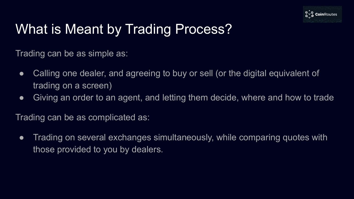

# What is Meant by Trading Process?

Trading can be as simple as:

- Calling one dealer, and agreeing to buy or sell (or the digital equivalent of trading on a screen)
- Giving an order to an agent, and letting them decide, where and how to trade

Trading can be as complicated as:

● Trading on several exchanges simultaneously, while comparing quotes with those provided to you by dealers.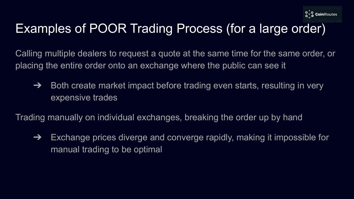

## Examples of POOR Trading Process (for a large order)

Calling multiple dealers to request a quote at the same time for the same order, or placing the entire order onto an exchange where the public can see it

 $\rightarrow$  Both create market impact before trading even starts, resulting in very expensive trades

Trading manually on individual exchanges, breaking the order up by hand

 $\rightarrow$  Exchange prices diverge and converge rapidly, making it impossible for manual trading to be optimal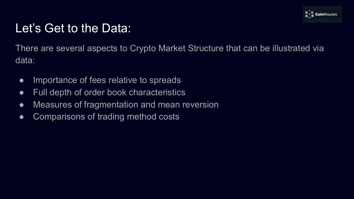

#### Let's Get to the Data:

There are several aspects to Crypto Market Structure that can be illustrated via data:

- Importance of fees relative to spreads
- Full depth of order book characteristics
- Measures of fragmentation and mean reversion
- Comparisons of trading method costs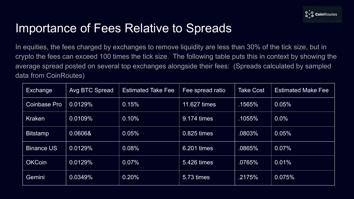

#### Importance of Fees Relative to Spreads

In equities, the fees charged by exchanges to remove liquidity are less than 30% of the tick size, but in crypto the fees can exceed 100 times the tick size. The following table puts this in context by showing the average spread posted on several top exchanges alongside their fees: (Spreads calculated by sampled data from CoinRoutes)

| Exchange            | Avg BTC Spread | <b>Estimated Take Fee</b> | Fee spread ratio | Take Cost | <b>Estimated Make Fee</b> |
|---------------------|----------------|---------------------------|------------------|-----------|---------------------------|
| <b>Coinbase Pro</b> | 0.0129%        | 0.15%                     | 11.627 times     | .1565%    | 0.05%                     |
| Kraken              | 0.0109%        | 0.10%                     | 9.174 times      | .1055%    | 0.0%                      |
| <b>Bitstamp</b>     | 0.0606&        | 0.05%                     | 0.825 times      | .0803%    | 0.05%                     |
| <b>Binance US</b>   | 0.0129%        | 0.08%                     | 6.201 times      | .0865%    | 0.07%                     |
| <b>OKCoin</b>       | 0.0129%        | 0.07%                     | 5.426 times      | .0765%    | 0.01%                     |
| Gemini <sup>1</sup> | 0.0349%        | 0.20%                     | 5.73 times       | .2175%    | 0.075%                    |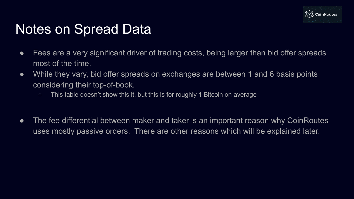

### Notes on Spread Data

- Fees are a very significant driver of trading costs, being larger than bid offer spreads most of the time.
- While they vary, bid offer spreads on exchanges are between 1 and 6 basis points considering their top-of-book.
	- This table doesn't show this it, but this is for roughly 1 Bitcoin on average
- The fee differential between maker and taker is an important reason why CoinRoutes uses mostly passive orders. There are other reasons which will be explained later.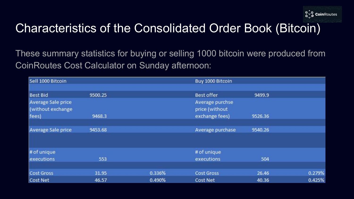

### Characteristics of the Consolidated Order Book (Bitcoin)

These summary statistics for buying or selling 1000 bitcoin were produced from CoinRoutes Cost Calculator on Sunday afternoon:

| Sell 1000 Bitcoin                       |         |        | Buy 1000 Bitcoin                  |         |        |  |
|-----------------------------------------|---------|--------|-----------------------------------|---------|--------|--|
|                                         |         |        |                                   |         |        |  |
| <b>Best Bid</b>                         | 9500.25 |        | <b>Best offer</b>                 | 9499.9  |        |  |
| Average Sale price<br>(without exchange |         |        | Average purchse<br>price (without |         |        |  |
| fees)                                   | 9468.3  |        | exchange fees)                    | 9526.36 |        |  |
| Average Sale price                      | 9453.68 |        | Average purchase                  | 9540.26 |        |  |
|                                         |         |        |                                   |         |        |  |
| # of unique                             |         |        | # of unique                       |         |        |  |
| executions                              | 553     |        | executions                        | 504     |        |  |
| Cost Gross                              | 31.95   | 0.336% | <b>Cost Gross</b>                 | 26.46   | 0.279% |  |
| <b>Cost Net</b>                         | 46.57   | 0.490% | Cost Net                          | 40.36   | 0.425% |  |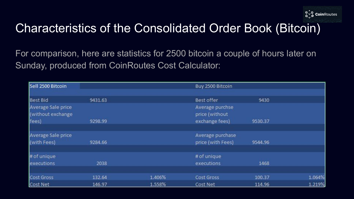

### Characteristics of the Consolidated Order Book (Bitcoin)

For comparison, here are statistics for 2500 bitcoin a couple of hours later on Sunday, produced from CoinRoutes Cost Calculator:

| Sell 2500 Bitcoin  |         |        | Buy 2500 Bitcoin  |         |        |
|--------------------|---------|--------|-------------------|---------|--------|
|                    |         |        |                   |         |        |
| <b>Best Bid</b>    | 9431.63 |        | Best offer        | 9430    |        |
| Average Sale price |         |        | Average purchse   |         |        |
| (without exchange  |         |        | price (without    |         |        |
| fees)              | 9298.99 |        | exchange fees)    | 9530.37 |        |
| Average Sale price |         |        | Average purchase  |         |        |
| (with Fees)        | 9284.66 |        | price (with Fees) | 9544.96 |        |
| # of unique        |         |        | # of unique       |         |        |
| executions         | 2038    |        | executions        | 1468    |        |
| Cost Gross         | 132.64  | 1.406% | Cost Gross        | 100.37  | 1.064% |
| Cost Net           | 146.97  | 1.558% | Cost Net          | 114.96  | 1.219% |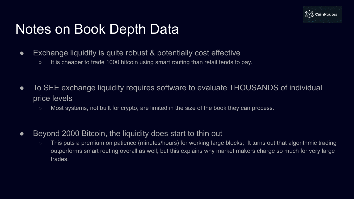

## Notes on Book Depth Data

- Exchange liquidity is quite robust & potentially cost effective
	- It is cheaper to trade 1000 bitcoin using smart routing than retail tends to pay.
- To SEE exchange liquidity requires software to evaluate THOUSANDS of individual price levels
	- Most systems, not built for crypto, are limited in the size of the book they can process.
- Beyond 2000 Bitcoin, the liquidity does start to thin out
	- This puts a premium on patience (minutes/hours) for working large blocks; It turns out that algorithmic trading outperforms smart routing overall as well, but this explains why market makers charge so much for very large trades.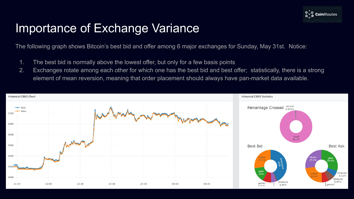

#### Importance of Exchange Variance

The following graph shows Bitcoin's best bid and offer among 6 major exchanges for Sunday, May 31st. Notice:

- 1. The best bid is normally above the lowest offer, but only for a few basis points
- 2. Exchanges rotate among each other for which one has the best bid and best offer; statistically, there is a strong element of mean reversion, meaning that order placement should always have pan-market data available.

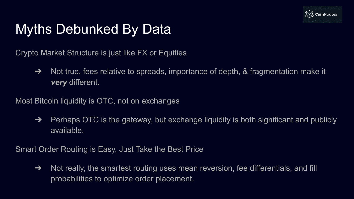

# Myths Debunked By Data

Crypto Market Structure is just like FX or Equities

➔ Not true, fees relative to spreads, importance of depth, & fragmentation make it *very* different.

Most Bitcoin liquidity is OTC, not on exchanges

 $\rightarrow$  Perhaps OTC is the gateway, but exchange liquidity is both significant and publicly available.

Smart Order Routing is Easy, Just Take the Best Price

 $\rightarrow$  Not really, the smartest routing uses mean reversion, fee differentials, and fill probabilities to optimize order placement.